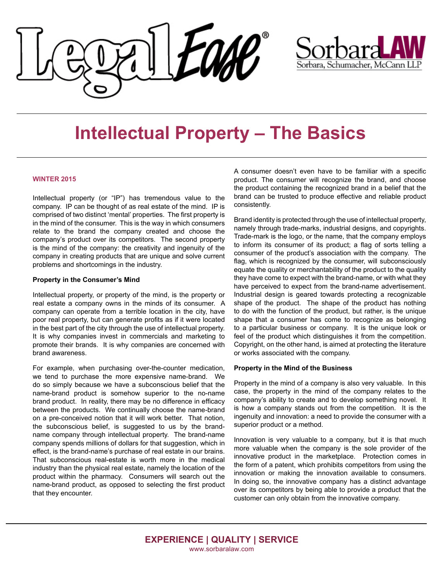



# **Intellectual Property – The Basics**

### **WINTER 2015**

company. IP can be thought of as real estate of the mind. IP is comprised of two distinct 'mental' properties. The first property is comprised of the diddlet montal properties. The morproperty is in the mind of the consumer. This is the way in which consumers relate to the brand the company created and choose the care to the biand the company created and choose the company's product over its competitors. The second property is the mind of the company: the creativity and ingenuity of the problems and shortcomings in the industry. Intellectual property (or "IP") has tremendous value to the company in creating products that are unique and solve current

#### and avoid critical errors, when medical negligence occurs, Property in the Consumer's Mind

Intellectual property, or property of the mind, is the property or real estate a company owns in the minds of its consumer. A company can operate from a terrible location in the city, have poor real property, but can generate profits as if it were located in the best part of the city through the use of intellectual property. It is why companies invest in commercials and marketing to promote their brands. It is why companies are concerned with brand awareness.

For example, when purchasing over-the-counter medication, do so simply because we have a subconscious belief that the name-brand product is somehow superior to the no-name brand product. In reality, there may be no difference in efficacy between the products. We continually choose the name-brand on a pre-conceived notion that it will work better. That notion, the subconscious belief, is suggested to us by the brandname company through intellectual property. The brand-name effect, is the brand-name's purchase of real estate in our brains. That subconscious real-estate is worth more in the medical industry than the physical real estate, namely the location of the product within the pharmacy. Consumers will search out the name-brand product, as opposed to selecting the first product  $\frac{1}{2}$  standard of care is the legal term used to describe the legal term used to describe the set of  $\frac{1}{2}$ we tend to purchase the more expensive name-brand. We company spends millions of dollars for that suggestion, which in that they encounter.

A consumer doesn't even have to be familiar with a specific product. The consumer will recognize the brand, and choose ne product containing the recognized brand in a belief that the brand can be trusted to produce effective and reliable product done. Malpractice consistently. product. The consumer will recognize the brand, and choose the product containing the recognized brand in a belief that the brand can be trusted to produce effective and reliable product

undertaken by the physician, for example, by the physician,  $\delta$ 

Brand identity is protected through the use of intellectual property, namely through trade-marks, industrial designs, and copyrights. Trade-mark is the logo, or the name, that the company employs to inform its consumer of its product; a flag of sorts telling a consumer of the product's association with the company. The lequate the quality or merchantability of the product to the quality equate the quality or merchantability of the product to the quality be they have come to expect with the brand-name, or with what they arcy have come to expect with the brand-name, or with what they have perceived to expect from the brand-name advertisement. ave perceived to expect from the brand-hanne adventisement. Industrial design is geared towards protecting a recognizable shape of the product. The shape of the product has nothing to do with the function of the product, but rather, is the unique shape that a consumer has come to recognize as belonging to a particular business or company. It is the unique look or feel of the product which distinguishes it from the competition.<br>Copyright, on the other hand, is aimed at protecting the literature Copyright, on the other hand, is aimed at protecting the literature flag, which is recognized by the consumer, will subconsciously or works associated with the company.

#### Property in the Mind of the Business **Property** in the Mind of the Business

Property in the mind of a company is also very valuable. In this case, the property in the mind of the company relates to the Property in the mind of a company is also very valuable. In this case, the property in the mind of the company relates to the company's ability to create and to develop something novel. It is how a company stands out from the competition. It is the ingenuity and innovation: a need to provide the consumer with a **Damages** superior product or a method.

more valuable when the company is the sole provider of the innovative product in the marketplace. Protection comes in the form of a patent, which prohibits competitors from using the innovation or making the innovation available to consumers. n doing so, the innovative company has a distinct advantage over its competitors by being able to provide a product that the customer can only obtain from the innovative company. Innovation is very valuable to a company, but it is that much innovation or making the innovation available to consumers.<br>In doing so, the innovative company has a distinct advantage<br>over its competitors by being able to provide a product that the